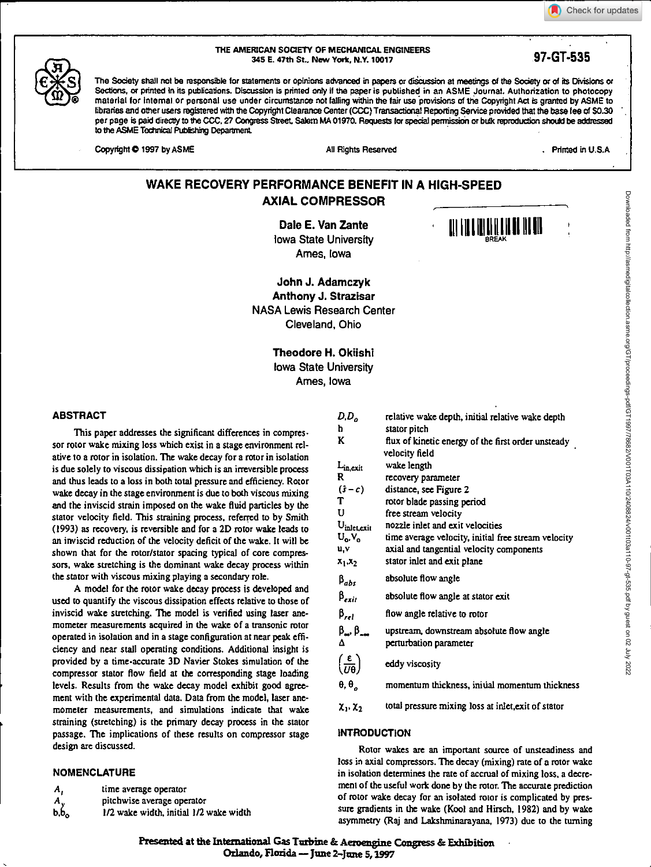Check for updates



**THE AMERICAN SOCIETY OF MECHANICAL ENGINEERS 345 E. 47th St., New York, N.Y. 10017 97-GT-535** 

The Society shall not be responsible for statements or opinions advanced in papers or discussion at meetings of the Society or of its Divisions or Sections, or printed in its publications. Discussion is printed only if the paper is published in an ASME Journal. Authorization to photocopy material for Internal or personal use under circumstance not falling within the fair use provisions of the Copyright Act is granted by ASME to libraries and other users registered with the Copyright Clearance Center (CCC) Transactional Reporting Service provided that the base fee of \$0.30 per page is paid directly to the CCC, 27 Congress Street, Salem MA 01970. Requests for special permission or bufk reproduction should be addressed to the ASME Technical Publishing Department.

Copyright © 1997 by ASME All Rights Reserved . Printed in U.S.A

<u>III III III III III III III</u>

# **WAKE RECOVERY PERFORMANCE BENEFIT IN A HIGH-SPEED AXIAL COMPRESSOR**

**Dale E. Van Zante**  Iowa State University Ames, Iowa

**John J. Adamczyk Anthony J. Strazisar**  NASA Lewis Research Center Cleveland, Ohio

> **Theodore H. Okiishi**  Iowa State University Ames, Iowa

# **ABSTRACT**

This paper addresses the significant differences in compressor rotor wake mixing loss which exist in a stage environment relative to a rotor in isolation. The wake decay for a rotor in isolation is due solely to viscous dissipation which is an irreversible process and thus leads to a loss in both total pressure and efficiency. Rotor wake decay in the stage environment is due to both viscous mixing and the inviscid strain imposed on the wake fluid particles by the stator velocity field. This straining process, referred to by Smith (1993) as recovery, is reversible and for a 2D rotor wake leads to an inviscid reduction of the velocity deficit of the wake. It will be shown that for the rotor/stator spacing typical of core compressors, wake stretching is the dominant wake decay process within the stator with viscous mixing playing a secondary role.

A model for the rotor wake decay process is developed and used to quantify the viscous dissipation effects relative to those of inviscid wake stretching. The model is verified using laser anemometer measurements acquired in the wake of a transonic rotor operated in isolation and in a stage configuration at near peak efficiency and near stall operating conditions. Additional insight is provided by a time-accurate 31) Navier Stokes simulation of the compressor stator flow field at the corresponding stage loading levels. Results from the wake decay model exhibit good agreement with the experimental data. Data from the model, laser anemometer measurements, and simulations indicate that wake straining (stretching) is the primary decay process in the stator passage. The implications of these results on compressor stage design are discussed.

# **NOMENCLATURE**

| Α,                                      | time average operator                  |
|-----------------------------------------|----------------------------------------|
|                                         | pitchwise average operator             |
| $A_{\gamma}$ <sub>b,b<sub>o</sub></sub> | 1/2 wake width, initial 1/2 wake width |

| $D, D_o$                                | relative wake depth, initial relative wake depth    |
|-----------------------------------------|-----------------------------------------------------|
| h.                                      | stator pitch                                        |
| K                                       | flux of kinetic energy of the first order unsteady  |
|                                         | velocity field                                      |
| $\frac{L_{in,exit}}{L_{in}}$            | wake length                                         |
| R                                       | recovery parameter                                  |
| $(\bar{s}-c)$                           | distance, see Figure 2                              |
| T                                       | rotor blade passing period                          |
| U                                       | free stream velocity                                |
| $U_{\text{inlet,exit}}$                 | nozzle inlet and exit velocities                    |
| $U_o$ , $V_o$                           | time average velocity, initial free stream velocity |
| u,v                                     | axial and tangential velocity components            |
| $x_1, x_2$                              | stator inlet and exit plane                         |
| $\bm{\beta}_{abs}$                      | absolute flow angle                                 |
| $\beta_{crit}$                          | absolute flow angle at stator exit                  |
| ι                                       | flow angle relative to rotor                        |
| $\beta$ $\beta$ $\beta$ $\infty$        | upstream, downstream absolute flow angle            |
| Δ                                       | perturbation parameter                              |
| $\left(\frac{\epsilon}{U\theta}\right)$ | eddy viscosity                                      |
| $\theta$ , $\theta$ <sub>a</sub>        | momentum thickness, initial momentum thickness      |
| $\chi_1, \chi_2$                        | total pressure mixing loss at inlet, exit of stator |
|                                         |                                                     |

# **INTRODUCTION**

Rotor wakes are an important source of unsteadiness and loss in axial compressors. The decay (mixing) rate of a rotor wake in isolation determines the rate of accrual of mixing loss, a decrement of the useful work done by the rotor. The accurate prediction of rotor wake decay for an isolated rotor is complicated by pressure gradients in the wake (Kool and Hirsch, 1982) and by wake asymmetry (Raj and Lakshminarayana, 1973) due to the turning

Presented at the International Gas Turbine & Aeroengine Congress & Exhibition **Orlando, Florida — June 2–June 5,1997**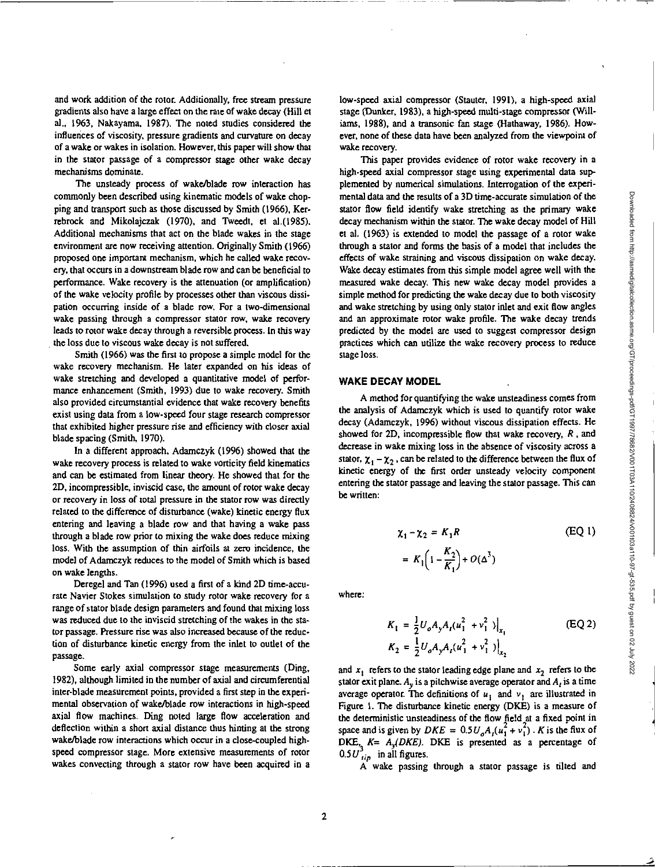and work addition of the rotor. Additionally, free stream pressure gradients also have a large effect on the rate of wake decay (Hill et al., 1963, Nakayama, 1987). The noted studies considered the influences of viscosity, pressure gradients and curvature on decay of a wake or wakes in isolation. However, this paper will show that in the stator passage of a compressor stage other wake decay mechanisms dominate.

The unsteady process of wake/blade row interaction has commonly been described using kinematic models of wake chopping and transport such as those discussed by Smith (1966), Kerrebrock and Mikolajczak (1970), and Tweedt, et al.(1985). Additional mechanisms that act on the blade wakes in the stage environment are now receiving attention. Originally Smith (1966) proposed one important mechanism, which he called wake recovery, that occurs in a downstream blade row and can be beneficial to performance. Wake recovery is the attenuation (or amplification) of the wake velocity profile by processes other than viscous dissipation occurring inside of a blade row. For a two-dimensional wake passing through a compressor stator row, wake recovery leads to rotor wake decay through a reversible process. In this way the loss due to viscous wake decay is not suffered.

Smith (1966) was the first to propose a simple model for the wake recovery mechanism. He later expanded on his ideas of wake stretching and developed a quantitative model of performance enhancement (Smith, 1993) due to wake recovery. Smith also provided circumstantial evidence that wake recovery benefits exist using data from a low-speed four stage research compressor that exhibited higher pressure rise and efficiency with closer axial blade spacing (Smith, 1970).

In a different approach, Adamczyk (1996) showed that the wake recovery process is related to wake vorticity field kinematics and can be estimated from linear theory. He showed that for the 2D, incompressible, inviscid case, the amount of rotor wake decay or recovery in loss of total pressure in the stator row was directly related to the difference of disturbance (wake) kinetic energy flux entering and leaving a blade row and that having a wake pass through a blade row prior to mixing the wake does reduce mixing loss. With the assumption of thin airfoils at zero incidence, the model of Adamczyk reduces to the model of Smith which is based on wake lengths.

Deregel and Tan (1996) used a first of a kind 2D time-accurate Navier Stokes simulation to study rotor wake recovery for a range of stator blade design parameters and found that mixing loss was reduced due to the inviscid stretching of the wakes in the stator passage. Pressure rise was also increased because of the reduction of disturbance kinetic energy from the inlet to outlet of the passage.

Some early axial compressor stage measurements (Ding, 1982), although limited in the number of axial and circumferential inter-blade measurement points, provided a first step in the experimental observation of wake/blade row interactions in high-speed axial flow machines. Ding noted large flow acceleration and deflection within a short axial distance thus hinting at the strong wake/blade row interactions which occur in a close-coupled highspeed compressor stage. More extensive measurements of rotor wakes convecting through a stator row have been acquired in a low-speed axial compressor (Stauter, 1991), a high-speed axial stage (Dunker. 1983), a high-speed multi-stage compressor (Williams, 1988), and a transonic fan stage (Hathaway, 1986). However, none of these data have been anal yzed from the viewpoint of wake recovery.

This paper provides evidence of rotor wake recovery in a high-speed axial compressor stage using experimental data supplemented by numerical simulations. Interrogation of the experimental data and the results of a 3D time-accurate simulation of the stator flow field identify wake stretching as the primary wake decay mechanism within the stator. The wake decay model of Hill et al. (1963) is extended to model the passage of a rotor wake through a stator and forms the basis of a model that includes the effects of wake straining and viscous dissipation on wake decay. Wake decay estimates from this simple model agree well with the measured wake *decay.* This new wake decay model provides a simple method for predicting the wake decay due to both viscosity and wake stretching by using only stator inlet and exit flow angles and an approximate rotor wake profile. The wake decay trends predicted by the model are used to suggest compressor design practices which can utilize the wake recovery process to reduce stage loss.

#### **WAKE DECAY MODEL**

A method for quantifying the wake unsteadiness comes from the analysis of Adamczyk which is used to quantify rotor wake decay (Adamczyk, 1996) without viscous dissipation effects. He showed for 2D, incompressible flow that wake recovery, *P.* and decrease in wake mixing loss in the absence of viscosity across a stator,  $\chi_1 - \chi_2$ , can be related to the difference between the flux of kinetic energy of the first order unsteady velocity component entering the stator passage and leaving the stator passage. This can be written:

$$
\chi_1 - \chi_2 = K_1 R \qquad (EQ1)
$$
  
= 
$$
K_1 \left( 1 - \frac{K_2}{K_1} \right) + O(\Delta^3)
$$

where:

$$
K_{t} = \frac{1}{2} U_{o} A_{y} A_{t} (u_{1}^{2} + v_{1}^{2}) \Big|_{x_{1}}
$$
\n
$$
K_{2} = \frac{1}{2} U_{o} A_{y} A_{t} (u_{1}^{2} + v_{1}^{2}) \Big|_{x_{2}}
$$
\n(EQ 2)

and  $x_1$  refers to the stator leading edge plane and  $x_2$  refers to the stator exit plane.  $A_v$  is a pitchwise average operator and  $A_t$  is a time average operator. The definitions of  $u_i$  and  $v_i$  are illustrated in Figure 1. The disturbance kinetic energy (DKE) is a measure of the deterministic unsteadiness of the flow field at a fixed point in space and is given by  $DKE = 0.5 U_o A_i(u_1^2 + v_1^2)$ . *K* is the flux of DKE,  $K= A_v(DKE)$ . DKE is presented as a percentage of  $0.5U_{tip}^{3}$  in all figures.

A wake passing through a stator passage is tilted and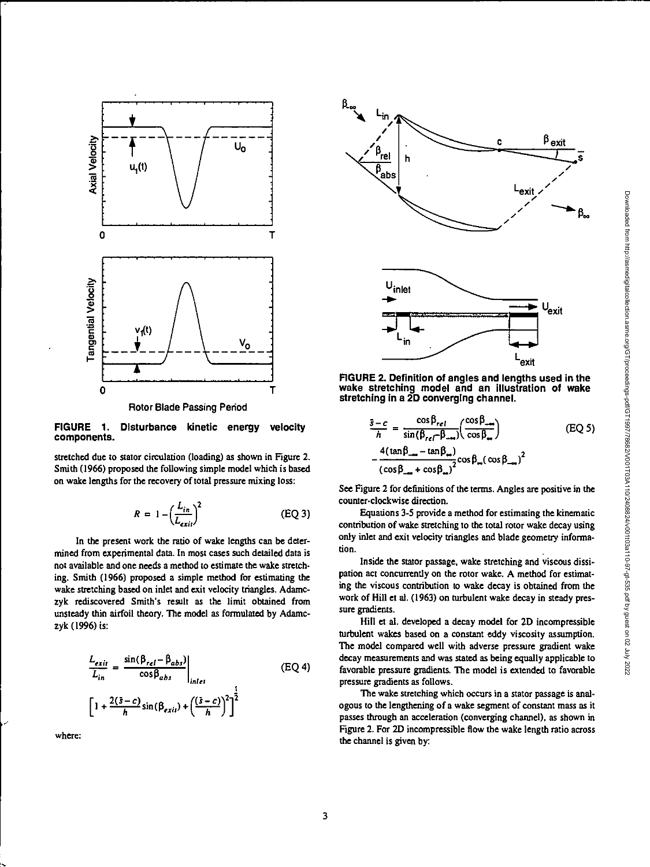

**FIGURE 1. Disturbance kinetic energy velocity components.** 

stretched due to stator circulation (loading) as shown in Figure 2. Smith (1966) proposed the following simple model which is based on wake lengths for the recovery of total pressure mixing loss:

$$
R = 1 - \left(\frac{L_{in}}{L_{exit}}\right)^2
$$
 (EQ3)

In the present work the ratio of wake lengths can be determined from experimental data. In most cases such detailed data is not available and one needs a method to estimate the wake stretching. Smith (1966) proposed a simple method for estimating the wake stretching based on inlet and exit velocity triangles. Adamczyk rediscovered Smith's result as the limit obtained from unsteady thin airfoil theory. The model as formulated by Adamczyk (1996) is:

$$
\frac{L_{exit}}{L_{in}} = \frac{\sin(\beta_{rel} - \beta_{abs})}{\cos \beta_{abs}}\Big|_{inlet}
$$
\n
$$
\left[1 + \frac{2(\bar{s} - c)}{h} \sin(\beta_{exit}) + \left(\frac{(\bar{s} - c)}{h}\right)^2\right]^{\frac{1}{2}}
$$
\n(EQ 4)

where:



**FIGURE 2. Definition of angles and lengths used in the wake stretching model and an illustration of wake stretching in a 2D converging channel.** 

$$
\frac{\bar{s}-c}{h} = \frac{\cos \beta_{rel}}{\sin(\beta_{rel}-\beta_{em})} \left(\frac{\cos \beta_{em}}{\cos \beta_{em}}\right)
$$
(EQ 5)  

$$
-\frac{4(\tan \beta_{em} - \tan \beta_{em})}{(\cos \beta_{em} + \cos \beta_{em})^2} \cos \beta_{em} (\cos \beta_{em})^2
$$

See Figure 2 for definitions of the terms. Angles are positive in the counter-clockwise direction.

Equations 3-5 provide a method for estimating the kinematic contribution of wake stretching to the total rotor wake decay using only inlet and exit velocity triangles and blade geometry information.

Inside the stator passage, wake stretching and viscous dissipation act concurrently on the rotor wake. A method for estimating the viscous contribution to wake decay is obtained from the work of Hill et al. (1963) on turbulent wake decay in steady pressure gradients.

Hill et al. developed a decay model for 2D incompressible turbulent wakes based on a constant eddy viscosity assumption. The model compared well with adverse pressure gradient wake decay measurements and was stated as being equally applicable to favorable pressure gradients. The model is extended to favorable pressure gradients as follows.

The wake stretching which occurs in a stator passage is analogous to the lengthening of a wake segment of constant mass as it passes through an acceleration (converging channel), as shown in Figure 2. For 2D incompressible flow the wake length ratio across the channel is given by: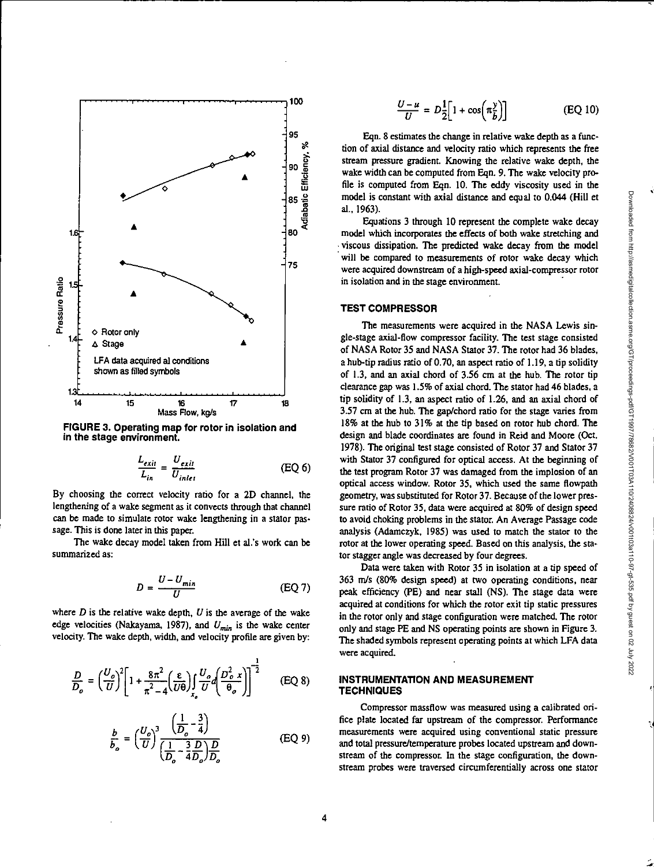

**FIGURE 3. Operating map for rotor in isolation and in the stage environment.** 

$$
\frac{L_{exit}}{L_{in}} = \frac{U_{exit}}{U_{inter}}
$$
 (EQ 6)

By choosing the correct velocity ratio for a 2D channel, the lengthening of a wake segment as it convects through that channel can be made to simulate rotor wake lengthening in a stator passage. This is done later in this paper.

The wake decay model taken from Hill et al's work can be summarized as:

$$
D = \frac{U - U_{min}}{U}
$$
 (EQ 7)

where *D* is the relative wake depth, *U* is the average of the wake edge velocities (Nakayama, 1987), and  $U_{min}$  is the wake center velocity. The wake depth, width, and velocity profile are given by:

$$
\frac{D}{D_o} = \left(\frac{U_o}{U}\right)^2 \left[1 + \frac{8\pi^2}{\pi^2 - 4} \left(\frac{\varepsilon}{U\theta}\right) \int_{x_o} \frac{U_o}{U} d\left(\frac{D_o^2}{\theta_o}\right)\right]^{-\frac{1}{2}} \qquad \text{(EQ 8)}
$$

$$
\frac{b}{b_o} = \left(\frac{U_o}{U}\right)^3 \frac{\left(\frac{1}{D_o} - \frac{3}{4}\right)}{\left(\frac{1}{D_o} - \frac{3}{4} \frac{D}{D_o}\right) \frac{D}{D_o}}
$$
(EQ 9)

$$
\frac{U - u}{U} = D\frac{1}{2}\left[1 + \cos\left(\pi \frac{y}{b}\right)\right]
$$
 (EQ 10)

95 Eqn. 8 estimates the change in relative wake depth as a func-<br> $\frac{8}{3}$  find of axial distance and velocity ratio which represents the free tion of axial distance and velocity ratio which represents the free stream pressure gradient. Knowing the relative wake depth, the wake width can be computed from Eqn. 9. The wake velocity profile is computed from Eqn. 10. The eddy viscosity used in the model is constant with axial distance and equal to 0.044 (Hill et al., 1963).

> Equations 3 through 10 represent the complete wake decay model which incorporates the effects of both wake stretching and : viscous dissipation. The predicted wake decay from the model will be compared to measurements of rotor wake decay which were acquired downstream of a high-speed axial-compressor rotor in isolation and in the stage environment.

#### **TEST COMPRESSOR**

The measurements were acquired in the NASA Lewis single-stage axial-flow compressor facility. The *test* stage consisted of NASA Rotor 35 and NASA Stator 37. The rotor had 36 blades, a hub-tip radius ratio of 0.70, an aspect ratio of 1.19, a tip solidity of 1.3, and an axial chord of 3.56 cm at the hub. The rotor tip clearance gap was 1.5% of axial chord. The stator had 46 blades, a tip solidity of 1.3, an aspect ratio of 1.26, and an axial chord of 3.57 cm at the hub. The gap/chord ratio for the stage varies from 18% at the hub to 31% at the tip based on rotor hub chord. The design and blade coordinates are found in Reid and Moore (Oct. 1978). The original test stage consisted of Rotor 37 and Stator 37 with Stator 37 configured for optical access. At the beginning of the test program Rotor 37 was damaged from the implosion of an optical access window. Rotor 35, which used the same flowpath geometry, was substituted for Rotor 37. Because of the lower pressure ratio of Rotor 35, data were acquired at 80% of design speed to avoid choking problems in the stator. An Average Passage code analysis (Adamczyk, 1985) was used to match the stator to the rotor at the lower operating speed. Based on this analysis, the stator stagger angle was decreased by four degrees.

Data were taken with Rotor 35 in isolation at a tip speed of 363 m/s (80% design speed) at two operating conditions, near peak efficiency (PE) and near stall (NS). The stage data were acquired at conditions for which the rotor exit tip static pressures in the rotor only and stage configuration were matched. The rotor only and stage PE and NS operating points are shown in Figure 3. The shaded symbols represent operating points at which LFA data were acquired.

#### **INSTRUMENTATION AND MEASUREMENT TECHNIQUES**

Compressor massflow was measured using a calibrated orifice plate located far upstream of the compressor. Performance measurements were acquired using conventional static pressure and total pressure/temperature probes located upstream and downstream of the compressor. In the stage configuration, the downstream probes were traversed circumferentially across one stator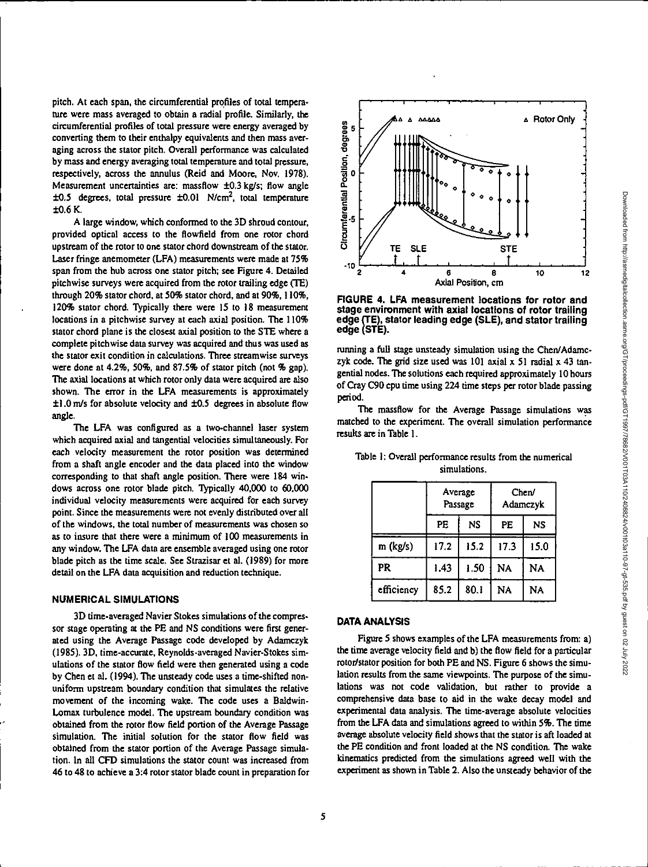pitch. At each span, the circumferential profiles of total temperature were mass averaged to obtain a radial profile. Similarly, the circumferential profiles of total pressure were energy avenged by converting them to their enthalpy equivalents and then mass averaging across the stator pitch. Overall performance was calculated by mass and energy averaging total temperature and total pressure, respectively, across the annulus (Reid and Moore, Nov. 1978). Measurement uncertainties are: massflow ±0.3 kg/s; flow angle  $\pm 0.5$  degrees, total pressure  $\pm 0.01$  N/cm<sup>2</sup>, total temperature ±0.6 K.

A large window, which conformed to the 3D shroud contour, provided optical access to the flowfield from one rotor chord upstream of the rotor to one stator chord downstream of the stator. Laser fringe anemometer (LFA) measurements were made at 75% span from the hub across one stator pitch; see Figure 4. Detailed pitchwise surveys were acquired from the rotor trailing edge (TE) through 20% stator chord, at 50% stator chord, and at 90%, 110%, 120% stator chord. Typically there were 15 to 18 measurement locations in a pitchwise survey at each axial position. The 110% stator chord plane is the closest axial position to the STE where a complete pitchwise data survey was acquired and thus was used as the stator exit condition in calculations. Three streamwise surveys were done at 4.2%, 50%, and 87.5% of stator pitch (not % gap). The axial locations at which rotor only data were acquired are also shown. The error in the LFA measurements is approximately  $\pm1.0$  m/s for absolute velocity and  $\pm0.5$  degrees in absolute flow angle.

The LEA was configured as a two-channel laser system which acquired axial and tangential velocities simultaneously. For each velocity measurement the rotor position was determined from a shaft angle encoder and the data placed into the window corresponding to that shaft angle position. There were 184 windows across one rotor blade pitch. Typically 40,000 to 60,000 individual velocity measurements were acquired for each survey point. Since the measurements were not evenly distributed over all of the windows, the total number of measurements was chosen so as to insure that there were a minimum of 100 measurements in any window. The LFA data are ensemble averaged using one rotor blade pitch as the time scale. See Strazisar et al. (1989) for more detail on the LEA data acquisition and reduction technique.

#### **NUMERICAL SIMULATIONS**

3D time-avenged Navier Stokes simulations of the compressor stage operating at the PE and NS conditions were first generated using the Average Passage code developed by Adamczyk (1985). 3D, time-accurate, Reynolds-averaged Navier-Stokes simulations of the stator flow field were then generated using a code by Chen et al. (1994). The unsteady code uses a time-shifted nonuniform upstream boundary condition that simulates the relative movement of the incoming wake. The code uses a Baldwin-Lomax turbulence model. The upstream boundary condition was obtained from the rotor flow field portion of the Average Passage simulation. The initial solution for the stator flow field was obtained from the stator portion of the Average Passage simulation. In all CFD simulations the stator count was increased from 46 to 48 to achieve a 3:4 rotor stator blade count in preparation for



**FIGURE 4. LFA measurement locations for rotor and stage environment with axial locations of rotor trailing edge (TE), stator leading edge (SLE), and stator trailing edge (STE).** 

running a full stage unsteady simulation using the Chen/Adamczyk code. The grid size used was 101 axial x 51 radial x 43 tangential nodes. The solutions each required approximately 10 hours of Cray C90 cpu time using 224 time steps per rotor blade passing period.

The massflow for the Average Passage simulations was matched to the experiment. The overall simulation performance results are in Table I.

|            |      | Average<br>Passage | Chen/<br>Adamczyk |           |
|------------|------|--------------------|-------------------|-----------|
|            | PE   | <b>NS</b>          | PE                | NS        |
| m (kg/s)   | 17.2 | 15.2               | 17.3              | 15.0      |
| PR         | 1.43 | 1.50               | <b>NA</b>         | <b>NA</b> |
| efficiency | 85.2 | 80.1               | NA.               | NA        |

Table I: Overall performance results from the numerical simulations.

# **DATA ANALYSIS**

Figure 5 shows examples of the LEA measurements from: a) the time average velocity field and b) the flow field for a particular rotor/stator position for both PE and NS. Figure 6 shows the simulation results from the same viewpoints. The purpose of the simulations was not code validation, but rather to provide a comprehensive data base to aid in the wake decay model and experimental data analysis. The time-average absolute velocities from the LFA data and simulations agreed to within 5%. The time average absolute velocity field shows that the stator is aft loaded at the PE condition and front loaded at the NS condition. The wake kinematics predicted from the simulations agreed well with the experiment as shown in Table 2. Also the unsteady behavior of the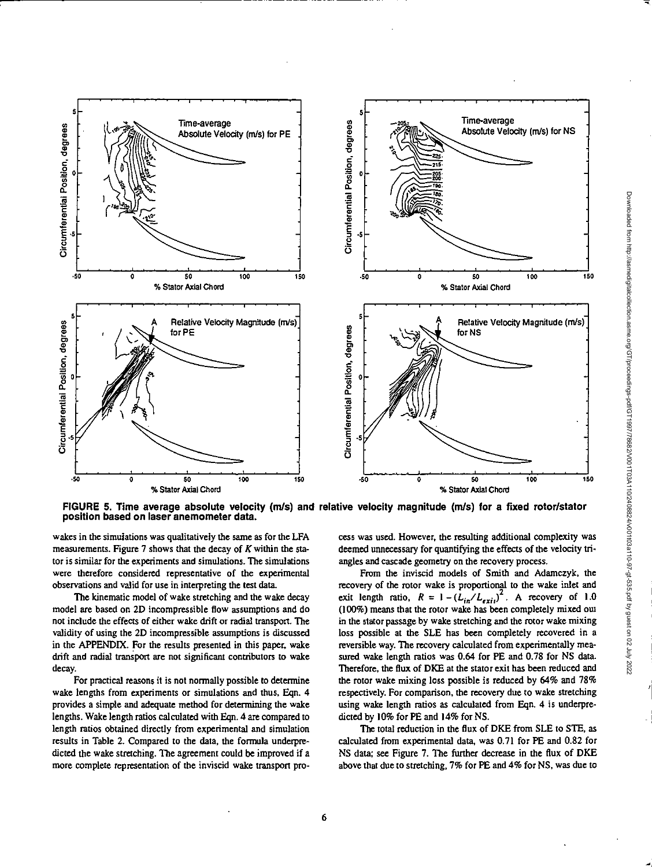

**FIGURE 5. Time average absolute velocity (m/s) and relative velocity magnitude (m/s) for a fixed rotor/stator position based on laser anemometer data.** 

wakes in the simulations was qualitatively the same as for the LFA measurements. Figure 7 shows that the decay of *K within* the stator is similar for the experiments and simulations. The simulations were therefore considered representative of the experimental observations and valid for use in interpreting the test data

The kinematic model of wake stretching and the wake decay model are based on 2D incompressible flow assumptions and do not include the effects of either wake drift or radial transport. The validity of using the 2D incompressible assumptions is discussed in the APPENDIX. For the results presented in this paper, wake drift and radial transport are not significant contributors to wake decay.

For practical reasons it is not normally possible to determine wake lengths from experiments or simulations and thus, Eqn. 4 provides a simple and adequate method for determining the wake lengths. Wake length ratios calculated with Eqn. 4 are compared to length ratios obtained directly from experimental and simulation results in Table 2. Compared to the data, the formula underpredicted the wake stretching. The agreement could be improved if a more complete representation of the inviscid wake transport pro-

cess was used. However, the resulting additional complexity was deemed unnecessary for quantifying the effects of the velocity triangles and cascade geometry on the recovery process.

From the inviscid models of Smith and Adamczyk, the recovery of the rotor wake is proportional to the wake inlet and exit length ratio,  $R = 1 - (L_{in}/L_{exif})^2$ . A recovery of 1.0 (100%) means that the rotor wake has been completely mixed out in the stator passage by wake stretching and the rotor wake mixing loss possible at the SLE has been completely recovered in a reversible way. The recovery calculated from experimentally measured wake length ratios was 0.64 for PE and 0.78 for NS data. Therefore, the flux of DICE at the stator exit has been reduced and the rotor wake mixing loss possible is reduced by 64% and 78% respectively. For comparison, the recovery due to wake stretching using wake length ratios as calculated from Eqn. 4 is underpredieted by 10% for PE and 14% for NS.

The total reduction in the flux of DKE from SLE to STE, as calculated from experimental data, was 0.71 for PE and 0.82 for NS data; see Figure 7. The further decrease in the flux of DKE above that due to stretching, 7% for PE and 4% for NS, was due to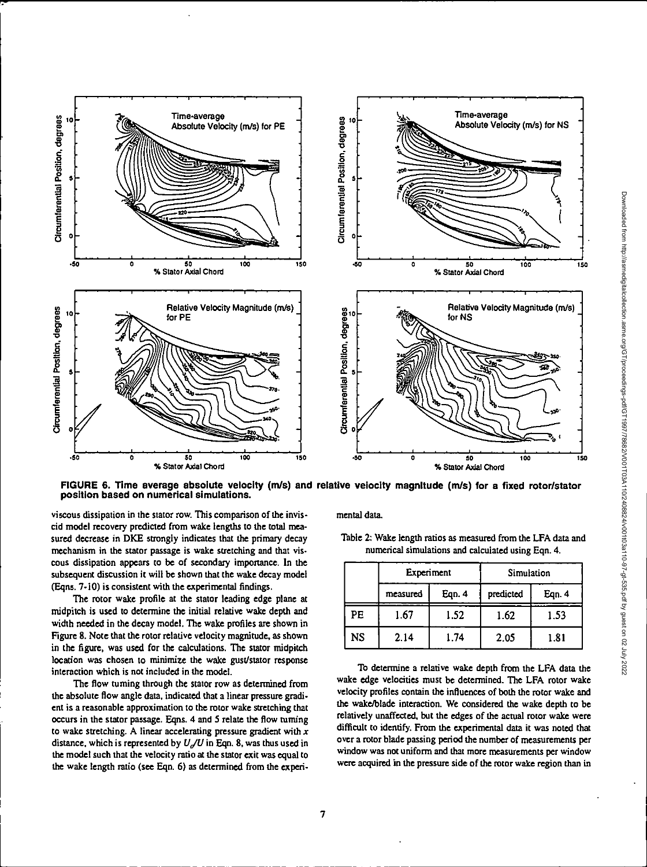

**FIGURE 6. Time average absolute velocity (m/s) and relative velocity magnitude (m/s) for a fixed rotor/stator position based on numerical simulations.** 

viscous dissipation in the stator row. This comparison of the inviscid model recovery predicted from wake lengths to the total measured decrease in DKE strongly indicates that the primary decay mechanism in the stator passage is wake stretching and that viscous dissipation appears to be of secondary importance. In the subsequent discussion it will be shown that the wake decay model (Eqns. 7-10) is consistent with the experimental findings.

The rotor wake profile at the stator leading edge plane at midpitch is used to determine the initial relative wake depth and width needed in the decay model. The wake profiles are shown in Figure 8. Note that the rotor relative velocity magnitude, as shown in the figure, was used for the calculations. The stator midpitch location was chosen to minimize the wake gust/stator response interaction which is not included in the model.

The flow turning through the stator row as determined from the absolute flow angle data, indicated that a linear pressure gradient is a reasonable approximation to the rotor wake stretching that occurs in the stator passage. Eqns. 4 and 5 relate the flow turning to wake stretching. A linear accelerating pressure gradient with *x*  distance, which is represented by  $U_{\alpha}/U$  in Eqn. 8, was thus used in the model such that the velocity ratio at the stator exit was equal to the wake length ratio (see Eqn. 6) as determined from the experimental data.

|  | Table 2: Wake length ratios as measured from the LFA data and |  |  |  |  |
|--|---------------------------------------------------------------|--|--|--|--|
|  | numerical simulations and calculated using Eqn. 4.            |  |  |  |  |

|           | Experiment |        | Simulation |        |  |
|-----------|------------|--------|------------|--------|--|
|           | measured   | Eqn. 4 | predicted  | Eqn. 4 |  |
| PE        | 1.67       | 1.52   | 1.62       | 1.53   |  |
| <b>NS</b> | 2.14       | 1.74   | 2.05       | 1.81   |  |

To determine a relative wake depth from the LEA data the wake edge velocities must be determined. The LFA rotor wake velocity profiles contain the influences of both the rotor wake and the wake/blade interaction. We considered the wake depth to be relatively unaffected, but the edges of the actual rotor wake were difficult to identify. From the experimental data it was noted that over a rotor blade passing period the number of measurements per window was not uniform and that more measurements per window were acquired in the pressure side of the rotor wake region than in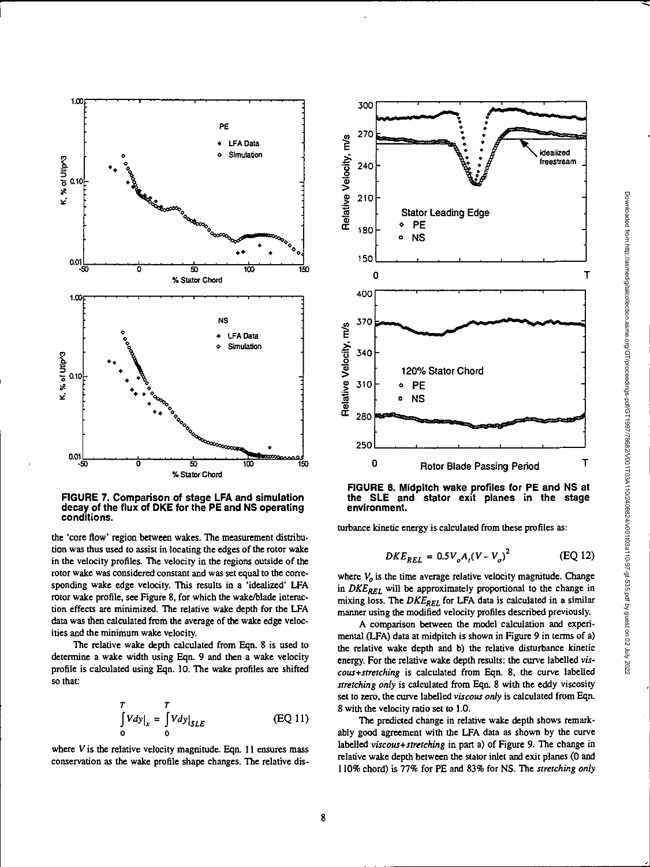

**FIGURE 7. Comparison of stage LFA and simulation decay of the flux of DKE for the PE and NS operating conditions.** 

the 'core flow' region between wakes. The measurement distribution was thus used to assist in locating the edges of the rotor wake in the velocity profiles. The velocity in the regions outside of the rotor wake was considered constant and was set equal to the conespending wake edge velocity. This results in a 'idealized' LEA rotor wake profile, see Figure 8, for which the wake/blade interaction effects are minimized. The relative wake depth for the LFA data was then calculated from the average of the wake edge velocities and the minimum wake velocity.

The relative wake depth calculated from Eqn. 8 is used to determine a wake width using Eqn. 9 and then a wake velocity profile is calculated using Eqn. 10. The wake profiles are shifted so that:

$$
\int_{0}^{T} Vdy \big|_{x} = \int_{0}^{T} Vdy \big|_{SLE}
$$
 (EQ 11)

where  $V$  is the relative velocity magnitude. Eqn. 11 ensures mass conservation as the wake profile shape changes. The relative dis-



**the SLE and stator exit planes in the stage FIGURE 8. Midpitch wake profiles for PE and NS at environment.** 

turbance kinetic energy is calculated from these profiles as:

$$
DKE_{REL} = 0.5V_o A_t (V - V_o)^2
$$
 (EQ 12)

where  $V<sub>o</sub>$  is the time average relative velocity magnitude. Change in *DKEREL* will be approximately proportional to the change in mixing loss. The *DKE<sub>REL</sub>* for LFA data is calculated in a similar manner using the modified velocity profiles described previously.

A comparison between the model calculation and experimental (LEA) data at midpitch is shown in Figure 9 in terms of a) the relative wake depth and b) the relative disturbance kinetic energy. For the relative wake depth results: the curve labelled *viscous+stretching* is calculated from Eqn. 8, the curve labelled *stretching only* is calculated from Eqn. 8 with the eddy viscosity set to zero, the curve labelled *viscous only* is calculated from Eqn. 8 with the velocity ratio set to 1.0.

The predicted change in relative wake depth shows remarkably good agreement with the LEA data as shown by the curve labelled *viscous+stretching in* part a) of Figure 9. The change in relative wake depth between the stator inlet and exit planes (0 and 110% chord) is 77% for PE and 83% for NS. The *stretching only*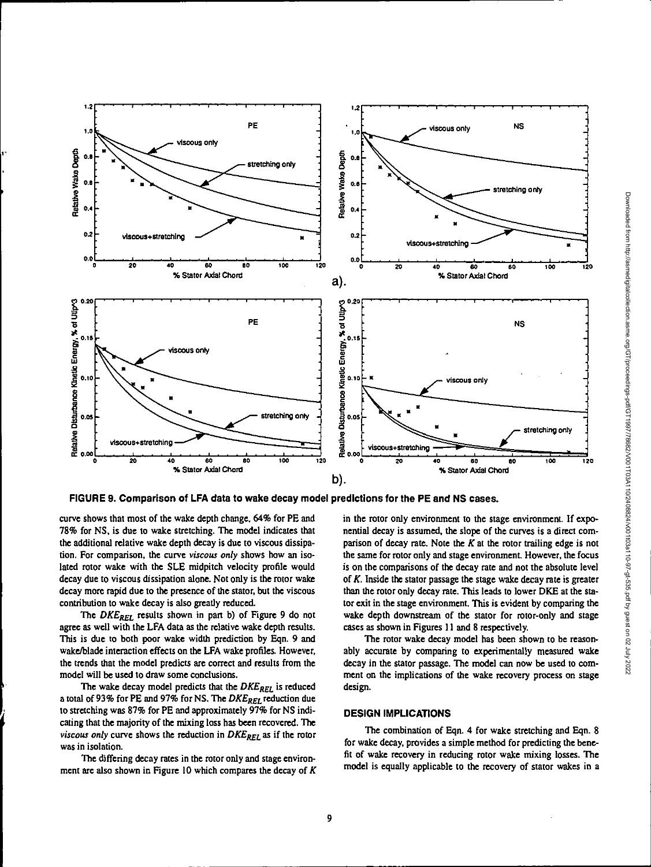

**FIGURE 9. Comparison of LFA data to wake decay model predictions for the PE and NS cases.** 

curve shows that most of the wake depth change, 64% for PE and 78% for NS, is due to wake stretching. The model indicates that the additional relative wake depth decay is due to viscous dissipation. For comparison, the curve *viscous only* shows how an isolated rotor wake with the SLE midpitch velocity profile would decay due to viscous dissipation alone. Not only is the rotor wake decay more rapid due to the presence of the stator, but the viscous contribution to wake decay is also greatly reduced.

The *DKE<sub>REL</sub>* results shown in part b) of Figure 9 do not agree as well with the LFA data as the relative wake depth results. This is due to both poor wake width prediction by Eqn. 9 and wake/blade interaction effects on the LFA wake profiles. However, the trends that the model predicts are correct and results from the model will be used to draw some conclusions.

The wake decay model predicts that the *DKE<sub>REL</sub>* is reduced a total of 93% for PE and 97% for NS. The *DKE<sub>REL</sub>* reduction due to stretching was 87% for PE and approximately 97% for NS indicating that the majority of the mixing loss has been recovered. The viscous only curve shows the reduction in  $DKE_{REL}$  as if the rotor was in isolation.

The differing decay rates in the rotor only and stage environment are also shown in Figure 10 which compares the decay of *K*  in the rotor only environment to the stage environment. If exponential decay is assumed, the slope of the curves is a direct comparison of decay rate. Note the *K* at the rotor trailing edge is not the same for rotor only and stage environment. However, the focus is on the comparisons of the decay rate and not the absolute level of *K.* Inside the stator passage the stage wake decay rate is greater than the rotor only decay rate. This leads to lower DKE at the stator exit in the stage environment. This is evident by comparing the wake depth downstream of the stator for rotor-only and stage cases as shown in Figures II and 8 respectively.

The rotor wake decay model has been shown to be reasonably accurate by comparing to experimentally measured wake decay in the stator passage. The model can now be used to comment on the implications of the wake recovery process on stage design.

# **DESIGN IMPLICATIONS**

The combination of Eqn. 4 for wake stretching and Eqn. 8 for wake decay, provides a simple method for predicting the benefit of wake recovery in reducing rotor wake mixing losses. The model is equally applicable to the recovery of stator wakes in a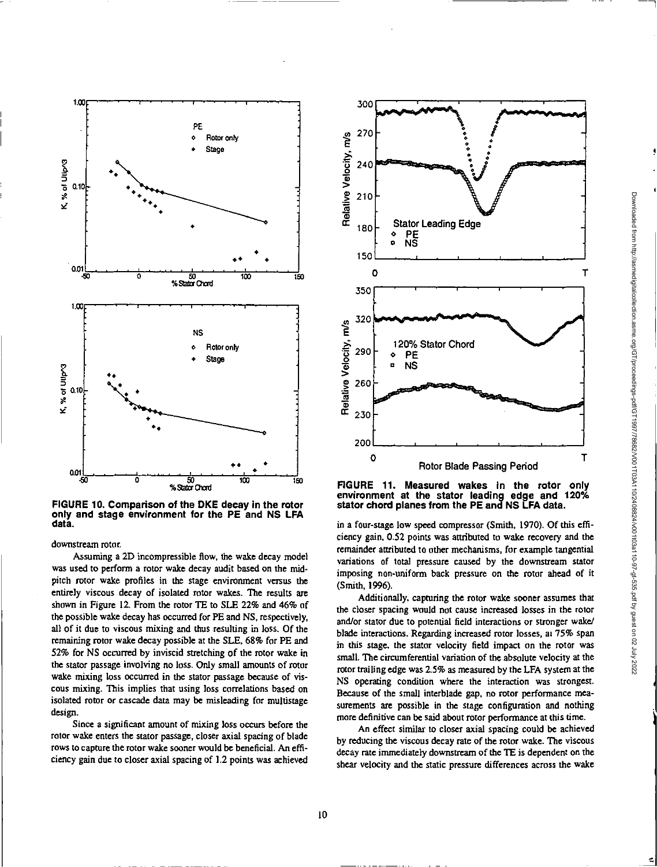

**FIGURE 10. Comparison of the DKE decay in the rotor only and stage environment for the PE and NS LFA data.** 

# downstream rotor

Assuming a 2D incompressible flow, the wake decay model was used to perform a rotor wake decay audit based on the midpitch rotor wake profiles in the stage environment versus the entirely viscous decay of isolated rotor wakes. The results are shown in Figure 12. From the rotor TE to SLE 22% and 46% of the possible wake decay has occurred for PE and NS, respectively, all of it due to viscous mixing and thus resulting in loss. Of the remaining rotor wake decay possible at the SLE, 68% for PE and 52% for NS occurred by inviscid stretching of the rotor wake in the stator passage involving no loss. Only small amounts of rotor wake mixing loss occurred in the stator passage because of viscous mixing. This implies that using loss correlations based on isolated rotor or cascade data may be misleading for multistage design.

Since a significant amount of mixing loss occurs before the rotor wake enters the stator passage, closer axial spacing of blade rows to capture the rotor wake sooner would *be* beneficial. An efficiency gain due to closer axial spacing of 1.2 points was achieved



**FIGURE 11. Measured wakes in the rotor only**  environment at the stator leading **stator chord planes from the PE and NS LFA data.** 

in a four-stage low speed compressor (Smith, 1970). Of this efficiency gain, 0.52 points was attributed to wake recovery and the remainder attributed to other mechanisms, for example tangential variations of total pressure caused by the downstream stator imposing non-uniform back pressure on the rotor ahead of it (Smith, 1996).

Additionally, capturing the rotor wake sooner assumes that the closer spacing would not cause increased losses in the rotor and/or stator due to potential field interactions or stronger wake/ blade interactions. Regarding increased rotor losses, at 75% span in this stage, the stator velocity field impact on the rotor was small. The circumferential variation of the absolute velocity at the rotor trailing edge was 2.5% as measured by the LFA system at the NS operating condition where the interaction was strongest. Because of the small interblade gap, no rotor performance measurements are possible in the stage configuration and nothing more definitive can be said about rotor performance at this time.

An effect similar to closer axial spacing could be achieved by reducing the viscous decay rate of the rotor wake. The viscous decay rate immediately downstream of the TB is dependent on the shear velocity and the static pressure differences across the wake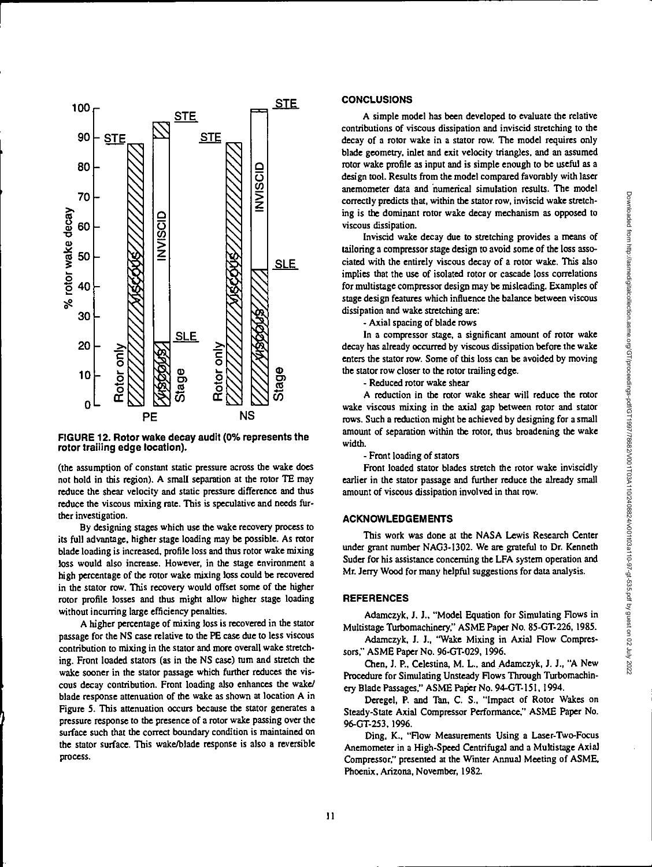

**FIGURE 12. Rotor wake decay audit (0% represents the rotor trailing edge location).** 

(the assumption of constant static pressure across the wake does not hold in this region). A small separation at the rotor TE may reduce the shear velocity and static pressure difference and thus reduce the viscous mixing rate. This is speculative and needs further investigation.

By designing stages which use the wake recovery process to its full advantage, higher stage loading may be possible. As rotor blade loading is increased, profile loss and thus rotor wake mixing loss would also increase. However, in the stage environment a high percentage of the rotor wake mixing loss could be recovered in the stator row. This recovery would offset some of the higher rotor profile losses and thus might allow higher stage loading without incurring large efficiency penalties.

A higher percentage of mixing loss is recovered in the stator passage for the NS case relative to the PE case due to less viscous contribution to mixing in the stator and more overall wake stretching. Front loaded stators (as in the NS case) turn and stretch the wake sooner in the stator passage which further reduces the viscous decay contribution. Front loading also enhances the wake/ blade response attenuation of the wake as shown at location A in Figure 5. This attenuation occurs because the stator generates a pressure response to the presence of a rotor wake passing over the surface such that the correct boundary condition is maintained on the stator surface. This wake/blade response is also a reversible process.

# **CONCLUSIONS**

A simple model has been developed to evaluate the relative contributions of viscous dissipation and inviscid stretching to the decay of a rotor wake in a stator row. The model requires only blade geometry, inlet and exit velocity triangles, and an assumed rotor wake profile as input and is simple enough to be useful as a design tool. Results from the model compared favorably with laser anemometer data and numerical simulation results. The model correctly predicts that, within the stator row, inviscid wake stretching is the dominant rotor wake decay mechanism as opposed to viscous dissipation.

lnviscid wake decay due to stretching provides a means of tailoring a compressor stage design to avoid some of the loss associated with the entirely viscous decay of a rotor wake. This also implies that the use of isolated rotor or cascade loss correlations for multistage compressor design may be misleading. Examples of stage design features which influence the balance between viscous dissipation and wake stretching are:

- Axial spacing of blade rows

In a compressor stage, a significant amount of rotor wake decay has already occurred by viscous dissipation before the wake enters the stator row. Some of this loss can be avoided by moving the stator row closer to the rotor trailing edge.

- Reduced rotor wake shear

A reduction in the rotor wake shear will reduce the rotor wake viscous mixing in the axial gap between rotor and stator rows. Such a reduction might be achieved by designing for a small amount of separation within the rotor, thus broadening the wake width.

- Front loading of stators

Front loaded stator blades stretch the rotor wake inviscidly earlier in the stator passage and further reduce the already small amount of viscous dissipation involved in that row.

### **ACKNOWLEDGEMENTS**

This work was done at the NASA Lewis Research Center under grant number NAG3-1302. We are grateful to Dr. Kenneth Suder for his assistance concerning the LFA system operation and Mr. Jerry Wood for many helpful suggestions for data analysis.

# **REFERENCES**

Adamczyk, 3. **1.,** "Model Equation for Simulating Flows in Multistage Turbomachinery," ASME Paper No. 85-GT-226, 1985.

Adamczyk, J. J., "Wake Mixing in Axial Flow Compressors," ASME Paper No. 96-GT-029, 1996.

Chen, J. P., Celestina, M. L., and Adamczyk, J. J., "A New Procedure for Simulating Unsteady Flows Through Turbomachinery Blade Passages," ASME Paper No. 94-GT-151, 1994.

Deregel, P. and Tan, C. S., "Impact of Rotor Wakes on Steady-State Axial Compressor Performance," ASME Paper No. 96-GT-253, 1996.

Ding, K., "Row Measurements Using a Laser-Two-Focus Anemometer in a High-Speed Centrifugal and a Multistage Axial Compressor," presented at the Winter Annual Meeting of ASME, Phoenix, Arizona, November, 1982.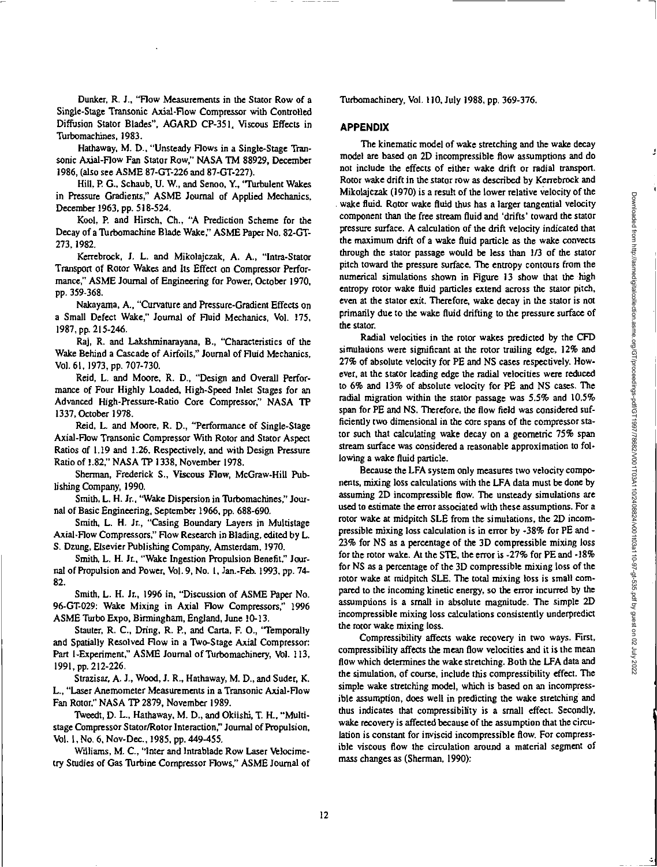Dunker, R. J., "Flow Measurements in the Stator Row of a Single-Stage Transonic Axial-Row Compressor with Controlled Diffusion Stator Blades", AGARD CP-351, Viscous Effects in Turbomachines, 1983.

Hathaway, M. D., "Unsteady Flows in a Single-Stage Transonic Axial-Flow Fan Stator Row;' NASA TM 88929, December 1986, (also see ASME 87-GT-226 and 87-GT-227).

Hill, P. G., Schaub, U. W., and Senoo, Y., "Turbulent Wakes in Pressure Gradients," ASME Journal of Applied Mechanics, December 1963, pp. 518-524.

Kool, P. and Hirsch, Ch., "A Prediction Scheme for the Decay of a Turbomachine Blade Wake," ASME Paper No. 82-GT-273, 1982.

Kerrebrock, J. L. and Mikolajczak, A. A., "Intra-Stator Transport of Rotor Wakes and Its Effect on Compressor Performance;' ASME Journal of Engineering for Power, October 1970, pp. 359-368.

Nakayama, A., "Curvature and Pressure-Gradient Effects on a Small Defect Wake," Journal of Fluid Mechanics, Vol. 175, 1987, pp. 215-246.

Raj, R. and Lakshrninarayana, B., "Characteristics of the Wake Behind a Cascade of Airfoils," Journal of Fluid Mechanics, Vol. 61, 1973, pp. 707-730.

Reid, L. and Moore, R. D., "Design and Overall Performance of Four Highly Loaded, High-Speed Inlet Stages for an Advanced High-Pressure-Ratio Core Compressor:' NASA TP 1337, October 1978.

Reid, L. and Moore, R. D., "Performance of Single-Stage Axial-Row Transonic Compressor With Rotor and Stator Aspect Ratios of 1.19 and 1.26. Respectively, and with Design Pressure Ratio of 1.82," NASA TP 1338, November 1978.

Sherman, Frederick S., Viscous Flow, McGraw-Hill Publishing Company, 1990.

Smith, L. H. Jr., "Wake Dispersion in Turbomachines," Journal of Basic Engineering, September 1966, pp. 688-690.

Smith, L. H. Jr., "Casing Boundary Layers in Multistage Axial-Row Compressors," Row Research in Blading, edited by L. S. Dzung, Elsevier Publishing Company, Amsterdam, 1970.

Smith, L. H. Jr., "Wake Ingestion Propulsion Benefit," Journal of Propulsion and Power, Vol. 9, No. I, Jan.-Feb. 1993, pp. 74- 82.

Smith, L. H. Jr., 1996 in, "Discussion of ASME Paper No. 96-GT-029: Wake Mixing in Axial Row Compressors," 1996 ASME Turbo Expo, Birmingham, England, June 10-13.

Stauter, R. C., Dring, R. P., and Carta, F. O., "Temporally and Spatially Resolved Row in a Two-Stage Axial Compressor Part I-Experiment," ASME Journal of Turbomachinery, Vol. 113, 1991, pp. 212-226.

Strazisar, A. J., Wood, J. R., Hathaway, M. D., and Suder, K. L., "Laser Anemometer Measurements in a Transonic Axial-Flow Fan Rotor;' NASA TP 2879, November 1989,

Tweedt, D. L., Hathaway, M. D., and Okiishi, T. H., "Multistage Compressor Stator/Rotor Interaction," Journal of Propulsion, Vol. I, No. 6, Nov-Dec., 1985, pp. 449-455.

Williams, M. C., "Inter and Intrablade Row Laser Velocimetry Studies of Gas Turbine Compressor Flows," ASME Journal of Turbomachinery, Vol. 110, July 1988, pp. 369-376.

# **APPENDIX**

The kinematic model of wake stretching and the wake decay model are based on 2D incompressible flow assumptions and do not include the effects of either wake drift or radial transport. Rotor wake drift in the stator row as described by Kerrebrock and Mikolajczak (1970) is a result of the lower relative velocity of the wake fluid. Rotor wake fluid thus has a larger tangential velocity component than the free stream fluid and 'drifts' toward the stator pressure surface. A calculation of the drift velocity indicated that the maximum drift of a wake fluid particle as the wake convects through the stator passage would be less than 1/3 of the stator pitch toward the pressure surface. The entropy contours from the numerical simulations shown in Figure 13 show that the high entropy rotor wake fluid particles extend across the stator pitch, *even* at the stator exit. Therefore, wake decay in the stator is not primarily due to the wake fluid drifting to the pressure surface of the stator.

Radial velocities in the rotor wakes predicted by the CFD simulations were significant at the rotor trailing edge, 12% and 27% of absolute velocity for PE and NS cases respectively. However, at the stator leading edge the radial velocities were reduced to 6% and 13% of absolute velocity for PE and NS cases. The radial migration within the stator passage was 5.5% and 10.5% span for PE and NS. Therefore, the flow field was considered sufficiently two dimensional in the core spans of the compressor stator such that calculating wake decay on a geometric 75% span stream surface was considered a reasonable approximation to following a wake fluid particle.

Because the LFA system only measures two velocity components, mixing loss calculations with the LFA data must be done by assuming 2D incompressible flow. The unsteady simulations are used to estimate the error associated with these assumptions. For a rotor wake at midpitch SLE from the simulations, the 2D incompressible mixing loss calculation is in error by -38% for PE and - 23% for NS as a percentage of the 3D compressible mixing loss for the rotor wake. At the STE, the error is -27% for PE and -18% for NS as a percentage of the 3D compressible mixing loss of the rotor wake at midpitch SLE. The total mixing loss is small compared to the incoming kinetic energy, so the error incurred by the assumptions is a small in absolute magnitude. The simple 2D incompressible mixing loss calculations consistently underpredict the rotor wake mixing loss.

Compressibility affects wake recovery in two ways. First, compressibility affects the mean flow velocities and it is the mean flow which determines the wake stretching. Both the LFA data and the simulation, of course, include this compressibility effect. The simple wake stretching model, which is based on an incompressible assumption, does well in predicting the wake stretching and thus indicates that compressibility is a small effect. Secondly, wake recovery is affected because of the assumption that the circulation is constant for inviscid incompressible flow. For compressible viscous flow the circulation around a material segment of mass changes as (Sherman, 1990):